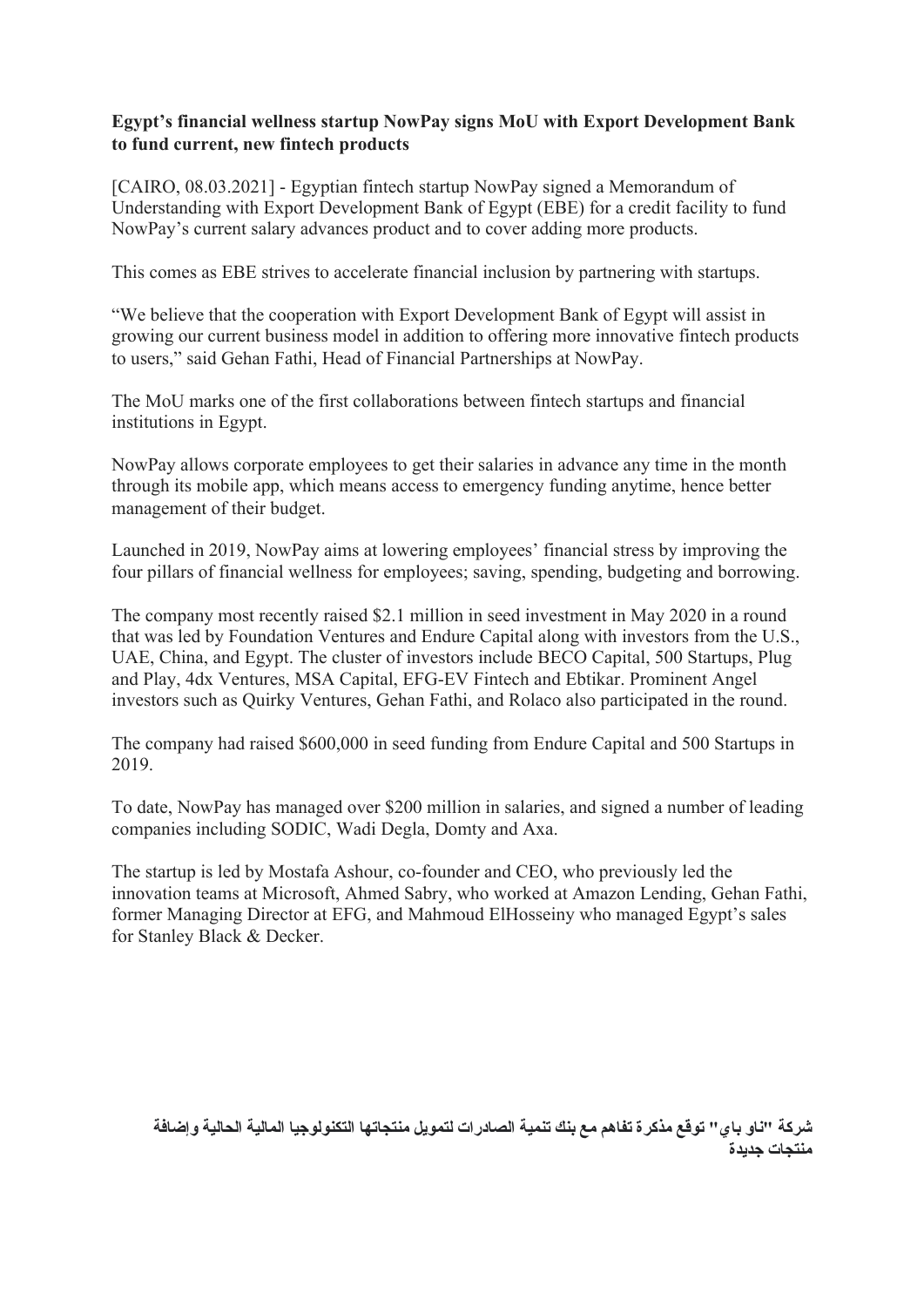## **Egypt's financial wellness startup NowPay signs MoU with Export Development Bank to fund current, new fintech products**

[CAIRO, 08.03.2021] - Egyptian fintech startup NowPay signed a Memorandum of Understanding with Export Development Bank of Egypt (EBE) for a credit facility to fund NowPay's current salary advances product and to cover adding more products.

This comes as EBE strives to accelerate financial inclusion by partnering with startups.

"We believe that the cooperation with Export Development Bank of Egypt will assist in growing our current business model in addition to offering more innovative fintech products to users," said Gehan Fathi, Head of Financial Partnerships at NowPay.

The MoU marks one of the first collaborations between fintech startups and financial institutions in Egypt.

NowPay allows corporate employees to get their salaries in advance any time in the month through its mobile app, which means access to emergency funding anytime, hence better management of their budget.

Launched in 2019, NowPay aims at lowering employees' financial stress by improving the four pillars of financial wellness for employees; saving, spending, budgeting and borrowing.

The company most recently raised \$2.1 million in seed investment in May 2020 in a round that was led by Foundation Ventures and Endure Capital along with investors from the U.S., UAE, China, and Egypt. The cluster of investors include BECO Capital, 500 Startups, Plug and Play, 4dx Ventures, MSA Capital, EFG-EV Fintech and Ebtikar. Prominent Angel investors such as Quirky Ventures, Gehan Fathi, and Rolaco also participated in the round.

The company had raised \$600,000 in seed funding from Endure Capital and 500 Startups in 2019.

To date, NowPay has managed over \$200 million in salaries, and signed a number of leading companies including SODIC, Wadi Degla, Domty and Axa.

The startup is led by Mostafa Ashour, co-founder and CEO, who previously led the innovation teams at Microsoft, Ahmed Sabry, who worked at Amazon Lending, Gehan Fathi, former Managing Director at EFG, and Mahmoud ElHosseiny who managed Egypt's sales for Stanley Black & Decker.